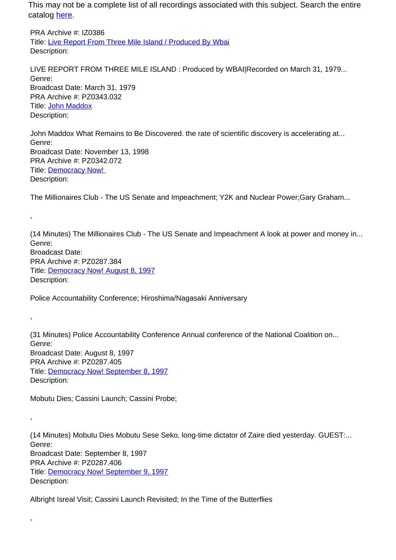PRA Archive #: IZ0386 Title: Live Report From Three Mile Island / Produced By Wbai Description:

LIVE REPORT FROM THREE MILE ISLAND : Produced by WBAI|Recorded on March 31, 1979... Genre: Broadcast Date: March 31, 1979 PRA Archive #: PZ0343.032 Title: John Maddox Description:

John Maddox What Remains to Be Discovered. the rate of scientific discovery is accelerating at... Genre: Broadcast Date: November 13, 1998 PRA Archive #: PZ0342.072 Title: Democracy Now! Description:

The Millionaires Club - The US Senate and Impeachment; Y2K and Nuclear Power;Gary Graham...

(14 Minutes) The Millionaires Club - The US Senate and Impeachment A look at power and money in... Genre: Broadcast Date: PRA Archive #: PZ0287.384 Title: Democracy Now! August 8, 1997 Description:

Police Accountability Conference; Hiroshima/Nagasaki Anniversary

(31 Minutes) Police Accountability Conference Annual conference of the National Coalition on... Genre: Broadcast Date: August 8, 1997 PRA Archive #: PZ0287.405 Title: Democracy Now! September 8, 1997 Description:

Mobutu Dies; Cassini Launch; Cassini Probe;

,

,

,

,

(14 Minutes) Mobutu Dies Mobutu Sese Seko, long-time dictator of Zaire died yesterday. GUEST:... Genre: Broadcast Date: September 8, 1997 PRA Archive #: PZ0287.406 Title: Democracy Now! September 9, 1997 Description:

Albright Isreal Visit; Cassini Launch Revisited; In the Time of the Butterflies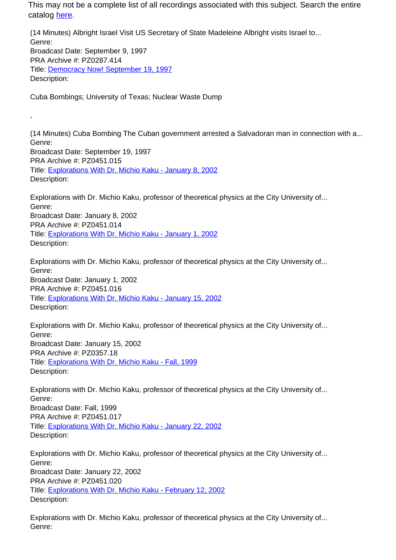(14 Minutes) Albright Israel Visit US Secretary of State Madeleine Albright visits Israel to... Genre: Broadcast Date: September 9, 1997 PRA Archive #: PZ0287.414 Title: Democracy Now! September 19, 1997 Description:

Cuba Bombings; University of Texas; Nuclear Waste Dump

,

(14 Minutes) Cuba Bombing The Cuban government arrested a Salvadoran man in connection with a... Genre: Broadcast Date: September 19, 1997 PRA Archive #: PZ0451.015 Title: Explorations With Dr. Michio Kaku - January 8, 2002 Description:

Explorations with Dr. Michio Kaku, professor of theoretical physics at the City University of... Genre: Broadcast Date: January 8, 2002 PRA Archive #: PZ0451.014 Title: Explorations With Dr. Michio Kaku - January 1, 2002 Description:

Explorations with Dr. Michio Kaku, professor of theoretical physics at the City University of... Genre: Broadcast Date: January 1, 2002 PRA Archive #: PZ0451.016 Title: Explorations With Dr. Michio Kaku - January 15, 2002 Description:

Explorations with Dr. Michio Kaku, professor of theoretical physics at the City University of... Genre: Broadcast Date: January 15, 2002 PRA Archive #: PZ0357.18 Title: Explorations With Dr. Michio Kaku - Fall, 1999 Description:

Explorations with Dr. Michio Kaku, professor of theoretical physics at the City University of... Genre: Broadcast Date: Fall, 1999 PRA Archive #: PZ0451.017 Title: Explorations With Dr. Michio Kaku - January 22, 2002 Description:

Explorations with Dr. Michio Kaku, professor of theoretical physics at the City University of... Genre: Broadcast Date: January 22, 2002 PRA Archive #: PZ0451.020 Title: Explorations With Dr. Michio Kaku - February 12, 2002 Description:

Explorations with Dr. Michio Kaku, professor of theoretical physics at the City University of... Genre: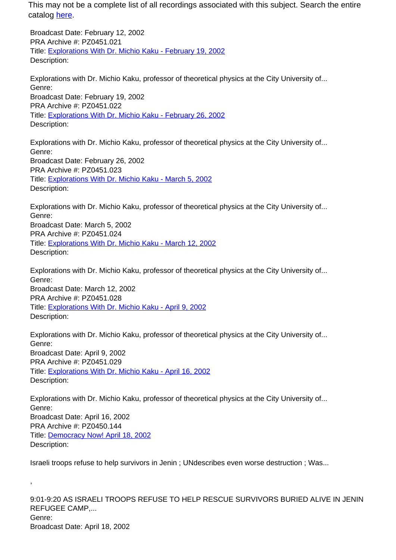Broadcast Date: February 12, 2002 PRA Archive #: PZ0451.021 Title: Explorations With Dr. Michio Kaku - February 19, 2002 Description:

Explorations with Dr. Michio Kaku, professor of theoretical physics at the City University of... Genre: Broadcast Date: February 19, 2002 PRA Archive #: PZ0451.022 Title: Explorations With Dr. Michio Kaku - February 26, 2002 Description:

Explorations with Dr. Michio Kaku, professor of theoretical physics at the City University of... Genre: Broadcast Date: February 26, 2002 PRA Archive #: PZ0451.023 Title: Explorations With Dr. Michio Kaku - March 5, 2002 Description:

Explorations with Dr. Michio Kaku, professor of theoretical physics at the City University of... Genre: Broadcast Date: March 5, 2002 PRA Archive #: PZ0451.024 Title: Explorations With Dr. Michio Kaku - March 12, 2002 Description:

Explorations with Dr. Michio Kaku, professor of theoretical physics at the City University of... Genre: Broadcast Date: March 12, 2002 PRA Archive #: PZ0451.028 Title: Explorations With Dr. Michio Kaku - April 9, 2002 Description:

Explorations with Dr. Michio Kaku, professor of theoretical physics at the City University of... Genre: Broadcast Date: April 9, 2002 PRA Archive #: PZ0451.029 Title: Explorations With Dr. Michio Kaku - April 16, 2002 Description:

Explorations with Dr. Michio Kaku, professor of theoretical physics at the City University of... Genre: Broadcast Date: April 16, 2002 PRA Archive #: PZ0450.144 Title: Democracy Now! April 18, 2002 Description:

Israeli troops refuse to help survivors in Jenin ; UNdescribes even worse destruction ; Was...

,

9:01-9:20 AS ISRAELI TROOPS REFUSE TO HELP RESCUE SURVIVORS BURIED ALIVE IN JENIN REFUGEE CAMP,... Genre: Broadcast Date: April 18, 2002